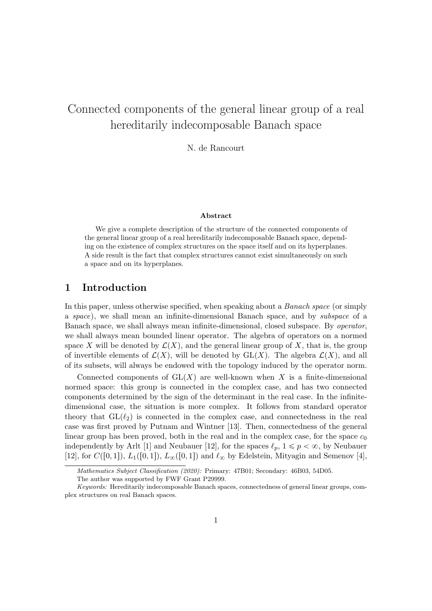# Connected components of the general linear group of a real hereditarily indecomposable Banach space

N. de Rancourt

#### Abstract

We give a complete description of the structure of the connected components of the general linear group of a real hereditarily indecomposable Banach space, depending on the existence of complex structures on the space itself and on its hyperplanes. A side result is the fact that complex structures cannot exist simultaneously on such a space and on its hyperplanes.

## 1 Introduction

In this paper, unless otherwise specified, when speaking about a *Banach space* (or simply a space), we shall mean an infinite-dimensional Banach space, and by subspace of a Banach space, we shall always mean infinite-dimensional, closed subspace. By operator, we shall always mean bounded linear operator. The algebra of operators on a normed space X will be denoted by  $\mathcal{L}(X)$ , and the general linear group of X, that is, the group of invertible elements of  $\mathcal{L}(X)$ , will be denoted by  $GL(X)$ . The algebra  $\mathcal{L}(X)$ , and all of its subsets, will always be endowed with the topology induced by the operator norm.

Connected components of  $GL(X)$  are well-known when X is a finite-dimensional normed space: this group is connected in the complex case, and has two connected components determined by the sign of the determinant in the real case. In the infinitedimensional case, the situation is more complex. It follows from standard operator theory that  $GL(\ell_2)$  is connected in the complex case, and connectedness in the real case was first proved by Putnam and Wintner [13]. Then, connectedness of the general linear group has been proved, both in the real and in the complex case, for the space  $c_0$ independently by Arlt [1] and Neubauer [12], for the spaces  $\ell_p$ ,  $1 \leq p < \infty$ , by Neubauer [12], for  $C([0, 1])$ ,  $L_1([0, 1])$ ,  $L_\infty([0, 1])$  and  $\ell_\infty$  by Edelstein, Mityagin and Semenov [4],

Mathematics Subject Classification (2020): Primary: 47B01; Secondary: 46B03, 54D05.

The author was supported by FWF Grant P29999.

Keywords: Hereditarily indecomposable Banach spaces, connectedness of general linear groups, complex structures on real Banach spaces.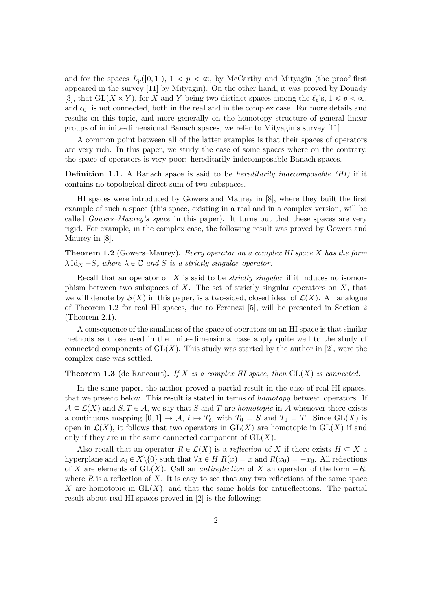and for the spaces  $L_p([0, 1])$ ,  $1 < p < \infty$ , by McCarthy and Mityagin (the proof first appeared in the survey [11] by Mityagin). On the other hand, it was proved by Douady [3], that  $GL(X \times Y)$ , for X and Y being two distinct spaces among the  $\ell_p$ 's,  $1 \leq p < \infty$ , and  $c_0$ , is not connected, both in the real and in the complex case. For more details and results on this topic, and more generally on the homotopy structure of general linear groups of infinite-dimensional Banach spaces, we refer to Mityagin's survey [11].

A common point between all of the latter examples is that their spaces of operators are very rich. In this paper, we study the case of some spaces where on the contrary, the space of operators is very poor: hereditarily indecomposable Banach spaces.

**Definition 1.1.** A Banach space is said to be *hereditarily indecomposable (HI)* if it contains no topological direct sum of two subspaces.

HI spaces were introduced by Gowers and Maurey in [8], where they built the first example of such a space (this space, existing in a real and in a complex version, will be called *Gowers–Maurey's space* in this paper). It turns out that these spaces are very rigid. For example, in the complex case, the following result was proved by Gowers and Maurey in [8].

**Theorem 1.2** (Gowers–Maurey). Every operator on a complex HI space X has the form  $\lambda \mathrm{Id}_X + S$ , where  $\lambda \in \mathbb{C}$  and S is a strictly singular operator.

Recall that an operator on  $X$  is said to be *strictly singular* if it induces no isomorphism between two subspaces of  $X$ . The set of strictly singular operators on  $X$ , that we will denote by  $\mathcal{S}(X)$  in this paper, is a two-sided, closed ideal of  $\mathcal{L}(X)$ . An analogue of Theorem 1.2 for real HI spaces, due to Ferenczi [5], will be presented in Section 2 (Theorem 2.1).

A consequence of the smallness of the space of operators on an HI space is that similar methods as those used in the finite-dimensional case apply quite well to the study of connected components of  $GL(X)$ . This study was started by the author in [2], were the complex case was settled.

#### **Theorem 1.3** (de Rancourt). If X is a complex HI space, then  $GL(X)$  is connected.

In the same paper, the author proved a partial result in the case of real HI spaces, that we present below. This result is stated in terms of *homotopy* between operators. If  $A \subseteq \mathcal{L}(X)$  and  $S, T \in \mathcal{A}$ , we say that S and T are *homotopic* in A whenever there exists a continuous mapping  $[0, 1] \rightarrow \mathcal{A}, t \mapsto T_t$ , with  $T_0 = S$  and  $T_1 = T$ . Since  $GL(X)$  is open in  $\mathcal{L}(X)$ , it follows that two operators in  $GL(X)$  are homotopic in  $GL(X)$  if and only if they are in the same connected component of  $GL(X)$ .

Also recall that an operator  $R \in \mathcal{L}(X)$  is a reflection of X if there exists  $H \subseteq X$  a hyperplane and  $x_0 \in X \setminus \{0\}$  such that  $\forall x \in H$   $R(x) = x$  and  $R(x_0) = -x_0$ . All reflections of X are elements of GL $(X)$ . Call an *antireflection* of X an operator of the form  $-R$ , where  $R$  is a reflection of  $X$ . It is easy to see that any two reflections of the same space X are homotopic in  $GL(X)$ , and that the same holds for antireflections. The partial result about real HI spaces proved in [2] is the following: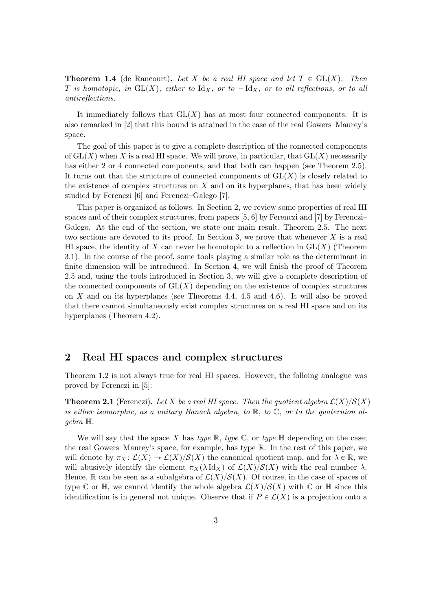**Theorem 1.4** (de Rancourt). Let X be a real HI space and let  $T \in GL(X)$ . Then T is homotopic, in  $GL(X)$ , either to  $Id_X$ , or to  $- Id_X$ , or to all reflections, or to all antireflections.

It immediately follows that  $GL(X)$  has at most four connected components. It is also remarked in [2] that this bound is attained in the case of the real Gowers–Maurey's space.

The goal of this paper is to give a complete description of the connected components of  $GL(X)$  when X is a real HI space. We will prove, in particular, that  $GL(X)$  necessarily has either 2 or 4 connected components, and that both can happen (see Theorem 2.5). It turns out that the structure of connected components of  $GL(X)$  is closely related to the existence of complex structures on  $X$  and on its hyperplanes, that has been widely studied by Ferenczi [6] and Ferenczi–Galego [7].

This paper is organized as follows. In Section 2, we review some properties of real HI spaces and of their complex structures, from papers [5, 6] by Ferenczi and [7] by Ferenczi– Galego. At the end of the section, we state our main result, Theorem 2.5. The next two sections are devoted to its proof. In Section 3, we prove that whenever  $X$  is a real HI space, the identity of X can never be homotopic to a reflection in  $GL(X)$  (Theorem 3.1). In the course of the proof, some tools playing a similar role as the determinant in finite dimension will be introduced. In Section 4, we will finish the proof of Theorem 2.5 and, using the tools introduced in Section 3, we will give a complete description of the connected components of  $GL(X)$  depending on the existence of complex structures on X and on its hyperplanes (see Theorems 4.4, 4.5 and 4.6). It will also be proved that there cannot simultaneously exist complex structures on a real HI space and on its hyperplanes (Theorem 4.2).

## 2 Real HI spaces and complex structures

Theorem 1.2 is not always true for real HI spaces. However, the folloing analogue was proved by Ferenczi in [5]:

**Theorem 2.1** (Ferenczi). Let X be a real HI space. Then the quotient algebra  $\mathcal{L}(X)/\mathcal{S}(X)$ is either isomorphic, as a unitary Banach algebra, to  $\mathbb{R}$ , to  $\mathbb{C}$ , or to the quaternion algebra H.

We will say that the space X has type  $\mathbb{R}$ , type  $\mathbb{C}$ , or type  $\mathbb{H}$  depending on the case; the real Gowers–Maurey's space, for example, has type R. In the rest of this paper, we will denote by  $\pi_X : \mathcal{L}(X) \to \mathcal{L}(X)/\mathcal{S}(X)$  the canonical quotient map, and for  $\lambda \in \mathbb{R}$ , we will abusively identify the element  $\pi_X(\lambda \mathrm{Id}_X)$  of  $\mathcal{L}(X)/\mathcal{S}(X)$  with the real number  $\lambda$ . Hence, R can be seen as a subalgebra of  $\mathcal{L}(X)/\mathcal{S}(X)$ . Of course, in the case of spaces of type C or H, we cannot identify the whole algebra  $\mathcal{L}(X)/\mathcal{S}(X)$  with C or H since this identification is in general not unique. Observe that if  $P \in \mathcal{L}(X)$  is a projection onto a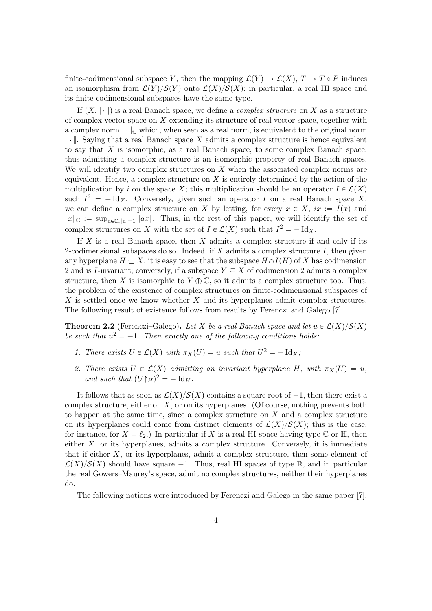finite-codimensional subspace Y, then the mapping  $\mathcal{L}(Y) \to \mathcal{L}(X), T \mapsto T \circ P$  induces an isomorphism from  $\mathcal{L}(Y)/\mathcal{S}(Y)$  onto  $\mathcal{L}(X)/\mathcal{S}(X)$ ; in particular, a real HI space and its finite-codimensional subspaces have the same type.

If  $(X, \|\cdot\|)$  is a real Banach space, we define a *complex structure* on X as a structure of complex vector space on X extending its structure of real vector space, together with a complex norm  $\|\cdot\|_{\mathbb{C}}$  which, when seen as a real norm, is equivalent to the original norm  $\|\cdot\|$ . Saying that a real Banach space X admits a complex structure is hence equivalent to say that  $X$  is isomorphic, as a real Banach space, to some complex Banach space; thus admitting a complex structure is an isomorphic property of real Banach spaces. We will identify two complex structures on  $X$  when the associated complex norms are equivalent. Hence, a complex structure on  $X$  is entirely determined by the action of the multiplication by i on the space X; this multiplication should be an operator  $I \in \mathcal{L}(X)$ such  $I^2 = -\text{Id}_X$ . Conversely, given such an operator I on a real Banach space X, we can define a complex structure on X by letting, for every  $x \in X$ ,  $ix := I(x)$  and  $||x||_{\mathbb{C}} := \sup_{a \in \mathbb{C}, |a|=1} ||ax||$ . Thus, in the rest of this paper, we will identify the set of complex structures on X with the set of  $I \in \mathcal{L}(X)$  such that  $I^2 = -\text{Id}_X$ .

If  $X$  is a real Banach space, then  $X$  admits a complex structure if and only if its 2-codimensional subspaces do so. Indeed, if  $X$  admits a complex structure  $I$ , then given any hyperplane  $H \subseteq X$ , it is easy to see that the subspace  $H \cap I(H)$  of X has codimension 2 and is *I*-invariant; conversely, if a subspace  $Y \subseteq X$  of codimension 2 admits a complex structure, then X is isomorphic to  $Y \oplus \mathbb{C}$ , so it admits a complex structure too. Thus, the problem of the existence of complex structures on finite-codimensional subspaces of X is settled once we know whether X and its hyperplanes admit complex structures. The following result of existence follows from results by Ferenczi and Galego [7].

**Theorem 2.2** (Ferenczi–Galego). Let X be a real Banach space and let  $u \in \mathcal{L}(X)/\mathcal{S}(X)$ be such that  $u^2 = -1$ . Then exactly one of the following conditions holds:

- 1. There exists  $U \in \mathcal{L}(X)$  with  $\pi_X(U) = u$  such that  $U^2 = -\text{Id}_X$ ;
- 2. There exists  $U \in \mathcal{L}(X)$  admitting an invariant hyperplane H, with  $\pi_X(U) = u$ , and such that  $(U \upharpoonright_H)^2 = - \text{Id}_H$ .

It follows that as soon as  $\mathcal{L}(X)/\mathcal{S}(X)$  contains a square root of  $-1$ , then there exist a complex structure, either on  $X$ , or on its hyperplanes. (Of course, nothing prevents both to happen at the same time, since a complex structure on  $X$  and a complex structure on its hyperplanes could come from distinct elements of  $\mathcal{L}(X)/\mathcal{S}(X)$ ; this is the case, for instance, for  $X = \ell_2$ .) In particular if X is a real HI space having type C or H, then either  $X$ , or its hyperplanes, admits a complex structure. Conversely, it is immediate that if either  $X$ , or its hyperplanes, admit a complex structure, then some element of  $\mathcal{L}(X)/\mathcal{S}(X)$  should have square  $-1$ . Thus, real HI spaces of type R, and in particular the real Gowers–Maurey's space, admit no complex structures, neither their hyperplanes do.

The following notions were introduced by Ferenczi and Galego in the same paper [7].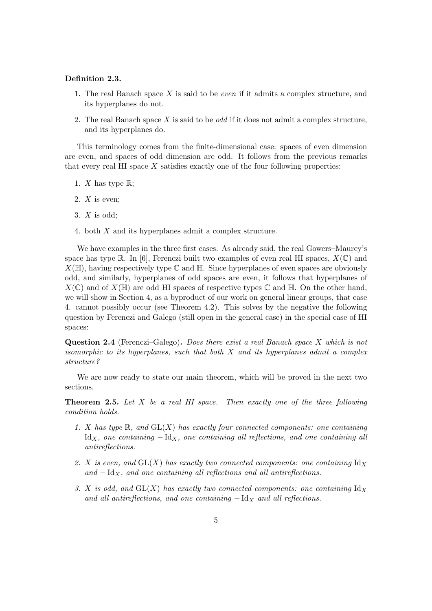#### Definition 2.3.

- 1. The real Banach space  $X$  is said to be *even* if it admits a complex structure, and its hyperplanes do not.
- 2. The real Banach space X is said to be *odd* if it does not admit a complex structure, and its hyperplanes do.

This terminology comes from the finite-dimensional case: spaces of even dimension are even, and spaces of odd dimension are odd. It follows from the previous remarks that every real HI space  $X$  satisfies exactly one of the four following properties:

- 1. *X* has type  $\mathbb{R}$ ;
- 2.  $X$  is even:
- 3.  $X$  is odd;
- 4. both X and its hyperplanes admit a complex structure.

We have examples in the three first cases. As already said, the real Gowers–Maurey's space has type R. In [6], Ferenczi built two examples of even real HI spaces,  $X(\mathbb{C})$  and  $X(\mathbb{H})$ , having respectively type  $\mathbb C$  and  $\mathbb H$ . Since hyperplanes of even spaces are obviously odd, and similarly, hyperplanes of odd spaces are even, it follows that hyperplanes of  $X(\mathbb{C})$  and of  $X(\mathbb{H})$  are odd HI spaces of respective types  $\mathbb{C}$  and  $\mathbb{H}$ . On the other hand, we will show in Section 4, as a byproduct of our work on general linear groups, that case 4. cannot possibly occur (see Theorem 4.2). This solves by the negative the following question by Ferenczi and Galego (still open in the general case) in the special case of HI spaces:

Question 2.4 (Ferenczi–Galego). Does there exist a real Banach space X which is not isomorphic to its hyperplanes, such that both  $X$  and its hyperplanes admit a complex structure?

We are now ready to state our main theorem, which will be proved in the next two sections.

**Theorem 2.5.** Let  $X$  be a real  $H1$  space. Then exactly one of the three following condition holds.

- 1. X has type  $\mathbb{R}$ , and  $GL(X)$  has exactly four connected components: one containing Id<sub>X</sub>, one containing  $-\text{Id}_X$ , one containing all reflections, and one containing all antireflections.
- 2. X is even, and  $GL(X)$  has exactly two connected components: one containing  $Id_X$ and  $-\text{Id}_X$ , and one containing all reflections and all antireflections.
- 3. X is odd, and  $GL(X)$  has exactly two connected components: one containing  $Id_X$ and all antireflections, and one containing  $-\text{Id}_X$  and all reflections.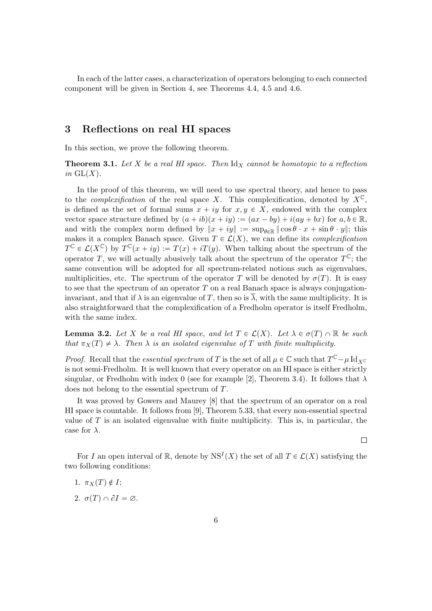In each of the latter cases, a characterization of operators belonging to each connected component will be given in Section 4, see Theorems 4.4, 4.5 and 4.6.

## 3 Reflections on real HI spaces

In this section, we prove the following theorem.

**Theorem 3.1.** Let X be a real HI space. Then  $\mathrm{Id}_X$  cannot be homotopic to a reflection in  $GL(X)$ .

In the proof of this theorem, we will need to use spectral theory, and hence to pass to the *complexification* of the real space X. This complexification, denoted by  $X^{\mathbb{C}}$ , is defined as the set of formal sums  $x + iy$  for  $x, y \in X$ , endowed with the complex vector space structure defined by  $(a + ib)(x + iy) := (ax - by) + i(ay + bx)$  for  $a, b \in \mathbb{R}$ , and with the complex norm defined by  $||x + iy|| := \sup_{\theta \in \mathbb{R}} ||\cos \theta \cdot x + \sin \theta \cdot y||$ ; this makes it a complex Banach space. Given  $T \in \mathcal{L}(X)$ , we can define its *complexification*  $T^{\mathbb{C}} \in \mathcal{L}(X^{\mathbb{C}})$  by  $T^{\mathbb{C}}(x+iy) := T(x) + iT(y)$ . When talking about the spectrum of the operator T, we will actually abusively talk about the spectrum of the operator  $T^{\mathbb{C}}$ ; the same convention will be adopted for all spectrum-related notions such as eigenvalues, multiplicities, etc. The spectrum of the operator T will be denoted by  $\sigma(T)$ . It is easy to see that the spectrum of an operator  $T$  on a real Banach space is always conjugationinvariant, and that if  $\lambda$  is an eigenvalue of T, then so is  $\overline{\lambda}$ , with the same multiplicity. It is also straightforward that the complexification of a Fredholm operator is itself Fredholm, with the same index.

**Lemma 3.2.** Let X be a real HI space, and let  $T \in \mathcal{L}(X)$ . Let  $\lambda \in \sigma(T) \cap \mathbb{R}$  be such that  $\pi_X(T) \neq \lambda$ . Then  $\lambda$  is an isolated eigenvalue of T with finite multiplicity.

*Proof.* Recall that the *essential spectrum* of T is the set of all  $\mu \in \mathbb{C}$  such that  $T^{\mathbb{C}} - \mu \boxtimes_{\mathcal{X}} T$ is not semi-Fredholm. It is well known that every operator on an HI space is either strictly singular, or Fredholm with index 0 (see for example [2], Theorem 3.4). It follows that  $\lambda$ does not belong to the essential spectrum of T.

It was proved by Gowers and Maurey [8] that the spectrum of an operator on a real HI space is countable. It follows from [9], Theorem 5.33, that every non-essential spectral value of  $T$  is an isolated eigenvalue with finite multiplicity. This is, in particular, the case for  $\lambda$ .

 $\Box$ 

For I an open interval of R, denote by  $NS<sup>I</sup>(X)$  the set of all  $T \in \mathcal{L}(X)$  satisfying the two following conditions:

- 1.  $\pi_X(T) \notin I$ ;
- 2.  $\sigma(T) \cap \partial I = \varnothing$ .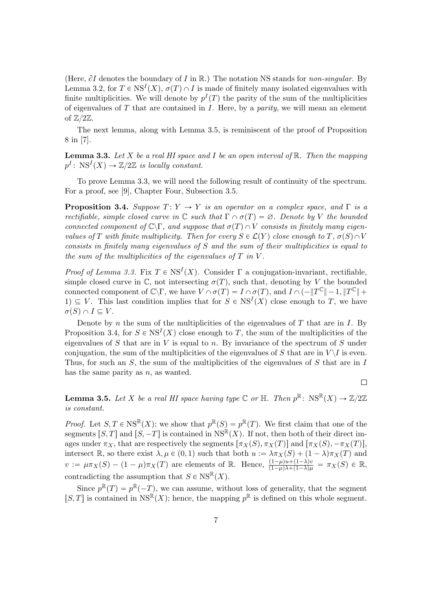(Here,  $\partial I$  denotes the boundary of I in R.) The notation NS stands for non-singular. By Lemma 3.2, for  $T \in \text{NS}^I(X)$ ,  $\sigma(T) \cap I$  is made of finitely many isolated eigenvalues with finite multiplicities. We will denote by  $p<sup>I</sup>(T)$  the parity of the sum of the multiplicities of eigenvalues of  $T$  that are contained in  $I$ . Here, by a *parity*, we will mean an element of  $\mathbb{Z}/2\mathbb{Z}$ .

The next lemma, along with Lemma 3.5, is reminiscent of the proof of Proposition 8 in [7].

**Lemma 3.3.** Let X be a real HI space and I be an open interval of  $\mathbb{R}$ . Then the mapping  $p^I \colon \operatorname{NS}^I(X) \to \mathbb{Z}/2\mathbb{Z}$  is locally constant.

To prove Lemma 3.3, we will need the following result of continuity of the spectrum. For a proof, see [9], Chapter Four, Subsection 3.5.

**Proposition 3.4.** Suppose  $T: Y \to Y$  is an operator on a complex space, and  $\Gamma$  is a rectifiable, simple closed curve in  $\mathbb C$  such that  $\Gamma \cap \sigma(T) = \emptyset$ . Denote by V the bounded connected component of  $\mathbb{C}\backslash\Gamma$ , and suppose that  $\sigma(T)\cap V$  consists in finitely many eigenvalues of T with finite multiplicity. Then for every  $S \in \mathcal{L}(Y)$  close enough to  $T, \sigma(S) \cap V$ consists in finitely many eigenvalues of S and the sum of their multiplicities is equal to the sum of the multiplicities of the eigenvalues of  $T$  in  $V$ .

*Proof of Lemma 3.3.* Fix  $T \in \text{NS}^I(X)$ . Consider  $\Gamma$  a conjugation-invariant, rectifiable, simple closed curve in  $\mathbb C$ , not intersecting  $\sigma(T)$ , such that, denoting by V the bounded connected component of  $\mathbb{C}\backslash\Gamma$ , we have  $V \cap \sigma(T) = I \cap \sigma(T)$ , and  $I \cap (-\|T^{\mathbb{C}}\| - 1, \|T^{\mathbb{C}}\| +$  $1 \subseteq V$ . This last condition implies that for  $S \in \text{NS}^I(X)$  close enough to T, we have  $\sigma(S) \cap I \subseteq V$ .

Denote by n the sum of the multiplicities of the eigenvalues of  $T$  that are in  $I$ . By Proposition 3.4, for  $S \in \text{NS}^I(X)$  close enough to T, the sum of the multiplicities of the eigenvalues of S that are in V is equal to n. By invariance of the spectrum of S under conjugation, the sum of the multiplicities of the eigenvalues of S that are in  $V\setminus I$  is even. Thus, for such an  $S$ , the sum of the multiplicities of the eigenvalues of  $S$  that are in  $I$ has the same parity as  $n$ , as wanted.

 $\Box$ 

**Lemma 3.5.** Let X be a real HI space having type  $\mathbb C$  or  $\mathbb H$ . Then  $p^{\mathbb R}$ :  $\text{NS}^{\mathbb R}(X) \to \mathbb Z/2\mathbb Z$ is constant.

*Proof.* Let  $S, T \in \text{NS}^{\mathbb{R}}(X)$ ; we show that  $p^{\mathbb{R}}(S) = p^{\mathbb{R}}(T)$ . We first claim that one of the segments  $[S, T]$  and  $[S, -T]$  is contained in NS<sup>R</sup> $(X)$ . If not, then both of their direct images under  $\pi_X$ , that are respectively the segments  $[\pi_X(S), \pi_X(T)]$  and  $[\pi_X(S), -\pi_X(T)]$ , intersect R, so there exist  $\lambda, \mu \in (0, 1)$  such that both  $u := \lambda \pi_X(S) + (1 - \lambda)\pi_X(T)$  and  $v := \mu \pi_X(S) - (1 - \mu)\pi_X(T)$  are elements of R. Hence,  $\frac{(1-\mu)u + (1-\lambda)v}{(1-\mu)\lambda+(1-\lambda)\mu} = \pi_X(S) \in \mathbb{R}$ , contradicting the assumption that  $S \in \text{NS}^{\mathbb{R}}(X)$ .

Since  $p^{\mathbb{R}}(T) = p^{\mathbb{R}}(-T)$ , we can assume, without loss of generality, that the segment  $[S, T]$  is contained in  $NS^{\mathbb{R}}(X)$ ; hence, the mapping  $p^{\mathbb{R}}$  is defined on this whole segment.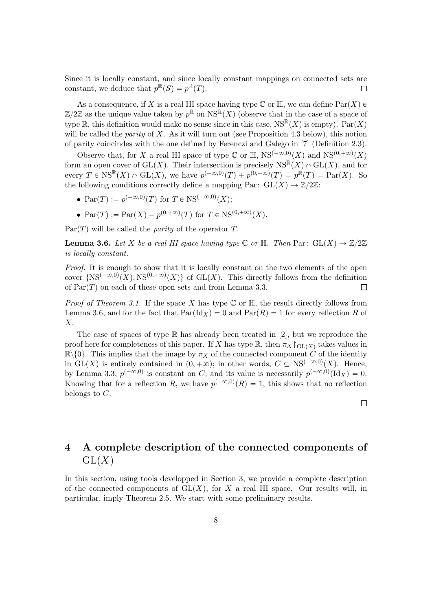Since it is locally constant, and since locally constant mappings on connected sets are constant, we deduce that  $p^{\mathbb{R}}(S) = p^{\mathbb{R}}(T)$ .  $\Box$ 

As a consequence, if X is a real HI space having type  $\mathbb C$  or  $\mathbb H$ , we can define  $\text{Par}(X) \in$  $\mathbb{Z}/2\mathbb{Z}$  as the unique value taken by  $p^{\mathbb{R}}$  on  $\text{NS}^{\mathbb{R}}(X)$  (observe that in the case of a space of type R, this definition would make no sense since in this case,  $\text{NS}^{\mathbb{R}}(X)$  is empty).  $\text{Par}(X)$ will be called the *parity* of X. As it will turn out (see Proposition 4.3 below), this notion of parity coincindes with the one defined by Ferenczi and Galego in [7] (Definition 2.3).

Observe that, for X a real HI space of type  $\mathbb C$  or  $\mathbb H$ ,  $\text{NS}^{(-\infty,0)}(X)$  and  $\text{NS}^{(0,+\infty)}(X)$ form an open cover of  $GL(X)$ . Their intersection is precisely  $NS^R(X) \cap GL(X)$ , and for every  $T \in \text{NS}^{\mathbb{R}}(X) \cap \text{GL}(X)$ , we have  $p^{(-\infty,0)}(T) + p^{(0,+\infty)}(T) = p^{\mathbb{R}}(T) = \text{Par}(X)$ . So the following conditions correctly define a mapping Par:  $GL(X) \to \mathbb{Z}/2\mathbb{Z}$ :

- $Par(T) := p^{(-\infty,0)}(T)$  for  $T \in NS^{(-\infty,0)}(X);$
- $Par(T) := Par(X) p^{(0, +\infty)}(T)$  for  $T \in NS^{(0, +\infty)}(X)$ .

 $Par(T)$  will be called the *parity* of the operator T.

**Lemma 3.6.** Let X be a real HI space having type  $\mathbb{C}$  or  $\mathbb{H}$ . Then Par:  $GL(X) \to \mathbb{Z}/2\mathbb{Z}$ is locally constant.

Proof. It is enough to show that it is locally constant on the two elements of the open cover  $\{NS^{(-\infty,0)}(X), NS^{(0,+\infty)}(X)\}\$  of  $GL(X)$ . This directly follows from the definition of  $Par(T)$  on each of these open sets and from Lemma 3.3.  $\Box$ 

*Proof of Theorem 3.1.* If the space X has type  $\mathbb C$  or  $\mathbb H$ , the result directly follows from Lemma 3.6, and for the fact that  $Par(\mathrm{Id}_X) = 0$  and  $Par(R) = 1$  for every reflection R of X.

The case of spaces of type  $\mathbb R$  has already been treated in [2], but we reproduce the proof here for completeness of this paper. If X has type  $\mathbb{R}$ , then  $\pi_X \upharpoonright_{\text{GL}(X)}$  takes values in  $\mathbb{R}\setminus\{0\}$ . This implies that the image by  $\pi_X$  of the connected component C of the identity in GL(X) is entirely contained in  $(0, +\infty)$ ; in other words,  $C \subseteq NS^{(-\infty,0)}(X)$ . Hence, by Lemma 3.3,  $p^{(-\infty,0)}$  is constant on C; and its value is necessarily  $p^{(-\infty,0)}(\text{Id}_X) = 0$ . Knowing that for a reflection R, we have  $p^{(-\infty,0)}(R) = 1$ , this shows that no reflection belongs to C.

 $\Box$ 

## 4 A complete description of the connected components of  $GL(X)$

In this section, using tools developped in Section 3, we provide a complete description of the connected components of  $GL(X)$ , for X a real HI space. Our results will, in particular, imply Theorem 2.5. We start with some preliminary results.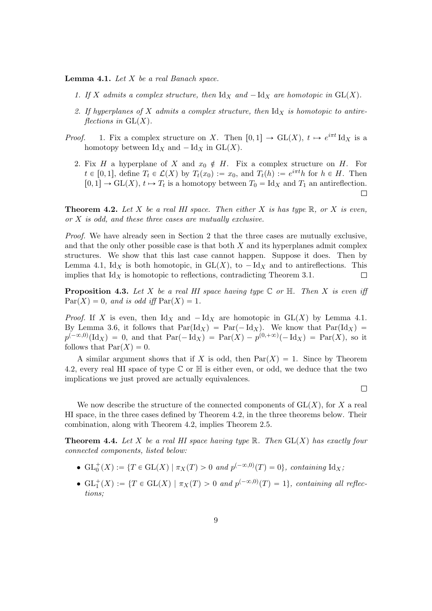**Lemma 4.1.** Let  $X$  be a real Banach space.

- 1. If X admits a complex structure, then  $\mathrm{Id}_X$  and  $-\mathrm{Id}_X$  are homotopic in  $GL(X)$ .
- 2. If hyperplanes of X admits a complex structure, then  $\mathrm{Id}_X$  is homotopic to antireflections in  $GL(X)$ .
- *Proof.* 1. Fix a complex structure on X. Then  $[0, 1] \rightarrow GL(X)$ ,  $t \mapsto e^{i\pi t} \mathrm{Id}_X$  is a homotopy between  $\mathrm{Id}_X$  and  $-\mathrm{Id}_X$  in  $\mathrm{GL}(X)$ .
	- 2. Fix H a hyperplane of X and  $x_0 \notin H$ . Fix a complex structure on H. For  $t \in [0, 1],$  define  $T_t \in \mathcal{L}(X)$  by  $T_t(x_0) := x_0$ , and  $T_t(h) := e^{i\pi t}h$  for  $h \in H$ . Then  $[0, 1] \to GL(X), t \mapsto T_t$  is a homotopy between  $T_0 = \text{Id}_X$  and  $T_1$  an antireflection.  $\Box$

**Theorem 4.2.** Let X be a real HI space. Then either X is has type  $\mathbb{R}$ , or X is even, or X is odd, and these three cases are mutually exclusive.

Proof. We have already seen in Section 2 that the three cases are mutually exclusive, and that the only other possible case is that both  $X$  and its hyperplanes admit complex structures. We show that this last case cannot happen. Suppose it does. Then by Lemma 4.1, Id<sub>X</sub> is both homotopic, in  $GL(X)$ , to  $- Id_X$  and to antireflections. This implies that  $\text{Id}_X$  is homotopic to reflections, contradicting Theorem 3.1.  $\Box$ 

**Proposition 4.3.** Let X be a real HI space having type  $\mathbb C$  or  $\mathbb H$ . Then X is even iff  $\text{Par}(X) = 0$ , and is odd iff  $\text{Par}(X) = 1$ .

*Proof.* If X is even, then  $\mathrm{Id}_X$  and  $-\mathrm{Id}_X$  are homotopic in  $\mathrm{GL}(X)$  by Lemma 4.1. By Lemma 3.6, it follows that  $Par(\mathrm{Id}_X) = Par(-\mathrm{Id}_X)$ . We know that  $Par(\mathrm{Id}_X) =$  $p^{(-\infty,0)}(\mathrm{Id}_X) = 0$ , and that  $\mathrm{Par}(-\mathrm{Id}_X) = \mathrm{Par}(X) - p^{(0,+\infty)}(-\mathrm{Id}_X) = \mathrm{Par}(X)$ , so it follows that  $\text{Par}(X) = 0$ .

A similar argument shows that if X is odd, then  $Par(X) = 1$ . Since by Theorem 4.2, every real HI space of type  $\mathbb C$  or  $\mathbb H$  is either even, or odd, we deduce that the two implications we just proved are actually equivalences.

 $\Box$ 

We now describe the structure of the connected components of  $GL(X)$ , for X a real HI space, in the three cases defined by Theorem 4.2, in the three theorems below. Their combination, along with Theorem 4.2, implies Theorem 2.5.

**Theorem 4.4.** Let X be a real HI space having type  $\mathbb{R}$ . Then  $GL(X)$  has exactly four connected components, listed below:

- $\mathrm{GL}_{0}^{+}(X) := \{ T \in \mathrm{GL}(X) \mid \pi_{X}(T) > 0 \text{ and } p^{(-\infty,0)}(T) = 0 \},\text{ containing } \mathrm{Id}_{X};$
- $\operatorname{GL}_1^+(X) := \{T \in \operatorname{GL}(X) \mid \pi_X(T) > 0 \text{ and } p^{(-\infty,0)}(T) = 1\},$  containing all reflections;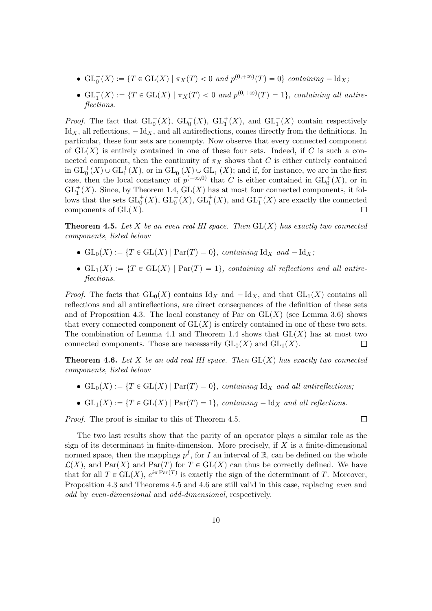- $GL_0^-(X) := \{T \in GL(X) \mid \pi_X(T) < 0 \text{ and } p^{(0,+\infty)}(T) = 0\}$  containing  $-\text{Id}_X$ ;
- $GL_1^-(X) := \{T \in GL(X) \mid \pi_X(T) < 0 \text{ and } p^{(0,+\infty)}(T) = 1\}$ , containing all antireflections.

*Proof.* The fact that  $\operatorname{GL}_0^+(X)$ ,  $\operatorname{GL}_0^-(X)$ ,  $\operatorname{GL}_1^+(X)$ , and  $\operatorname{GL}_1^-(X)$  contain respectively Id<sub>X</sub>, all reflections,  $-\text{Id}_X$ , and all antireflections, comes directly from the definitions. In particular, these four sets are nonempty. Now observe that every connected component of  $GL(X)$  is entirely contained in one of these four sets. Indeed, if C is such a connected component, then the continuity of  $\pi_X$  shows that C is either entirely contained in  $\mathrm{GL}^+_0(X)\cup\mathrm{GL}^+_1(X)$ , or in  $\mathrm{GL}^-_0(X)\cup\mathrm{GL}^-_1(X)$ ; and if, for instance, we are in the first case, then the local constancy of  $p^{(-\infty,0)}$  that C is either contained in  $\mathrm{GL}_0^+(X)$ , or in  $\operatorname{GL}_1^+(X)$ . Since, by Theorem 1.4,  $\operatorname{GL}(X)$  has at most four connected components, it follows that the sets  $\operatorname{GL}_0^+(X)$ ,  $\operatorname{GL}_0^-(X)$ ,  $\operatorname{GL}_1^+(X)$ , and  $\operatorname{GL}_1^-(X)$  are exactly the connected components of  $GL(X)$ .  $\Box$ 

**Theorem 4.5.** Let X be an even real HI space. Then  $GL(X)$  has exactly two connected components, listed below:

- $GL_0(X) := \{T \in GL(X) \mid \text{Par}(T) = 0\}$ , containing Id<sub>X</sub> and  $-\text{Id}_X$ ;
- $GL_1(X) := \{T \in GL(X) \mid Par(T) = 1\}$ , containing all reflections and all antireflections.

*Proof.* The facts that  $GL_0(X)$  contains  $Id_X$  and  $-Id_X$ , and that  $GL_1(X)$  contains all reflections and all antireflections, are direct consequences of the definition of these sets and of Proposition 4.3. The local constancy of Par on  $GL(X)$  (see Lemma 3.6) shows that every connected component of  $GL(X)$  is entirely contained in one of these two sets. The combination of Lemma 4.1 and Theorem 1.4 shows that  $GL(X)$  has at most two connected components. Those are necessarily  $GL_0(X)$  and  $GL_1(X)$ .  $\Box$ 

**Theorem 4.6.** Let X be an odd real HI space. Then  $GL(X)$  has exactly two connected components, listed below:

- $GL_0(X) := \{T \in GL(X) \mid Par(T) = 0\}$ , containing Id<sub>X</sub> and all antireflections;
- $GL_1(X) := \{T \in GL(X) \mid Par(T) = 1\}$ , containing  $-\text{Id}_X$  and all reflections.

Proof. The proof is similar to this of Theorem 4.5.

The two last results show that the parity of an operator plays a similar role as the sign of its determinant in finite-dimension. More precisely, if  $X$  is a finite-dimensional normed space, then the mappings  $p<sup>I</sup>$ , for I an interval of R, can be defined on the whole  $\mathcal{L}(X)$ , and Par $(X)$  and Par $(T)$  for  $T \in GL(X)$  can thus be correctly defined. We have that for all  $T \in GL(X)$ ,  $e^{i\pi \operatorname{Par}(T)}$  is exactly the sign of the determinant of T. Moreover, Proposition 4.3 and Theorems 4.5 and 4.6 are still valid in this case, replacing even and odd by even-dimensional and odd-dimensional, respectively.

 $\Box$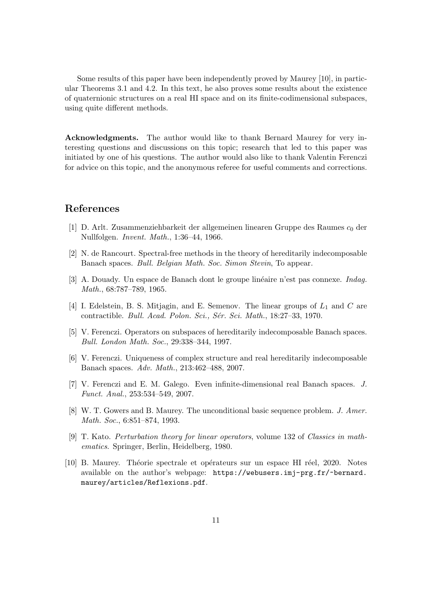Some results of this paper have been independently proved by Maurey [10], in particular Theorems 3.1 and 4.2. In this text, he also proves some results about the existence of quaternionic structures on a real HI space and on its finite-codimensional subspaces, using quite different methods.

Acknowledgments. The author would like to thank Bernard Maurey for very interesting questions and discussions on this topic; research that led to this paper was initiated by one of his questions. The author would also like to thank Valentin Ferenczi for advice on this topic, and the anonymous referee for useful comments and corrections.

## References

- [1] D. Arlt. Zusammenziehbarkeit der allgemeinen linearen Gruppe des Raumes  $c_0$  der Nullfolgen. Invent. Math., 1:36–44, 1966.
- [2] N. de Rancourt. Spectral-free methods in the theory of hereditarily indecomposable Banach spaces. Bull. Belgian Math. Soc. Simon Stevin, To appear.
- $[3]$  A. Douady. Un espace de Banach dont le groupe linéaire n'est pas connexe. *Indag.* Math., 68:787–789, 1965.
- [4] I. Edelstein, B. S. Mitjagin, and E. Semenov. The linear groups of  $L_1$  and C are contractible. Bull. Acad. Polon. Sci., Sér. Sci. Math., 18:27-33, 1970.
- [5] V. Ferenczi. Operators on subspaces of hereditarily indecomposable Banach spaces. Bull. London Math. Soc., 29:338–344, 1997.
- [6] V. Ferenczi. Uniqueness of complex structure and real hereditarily indecomposable Banach spaces. Adv. Math., 213:462–488, 2007.
- [7] V. Ferenczi and E. M. Galego. Even infinite-dimensional real Banach spaces. J. Funct. Anal., 253:534–549, 2007.
- [8] W. T. Gowers and B. Maurey. The unconditional basic sequence problem. J. Amer. Math. Soc., 6:851–874, 1993.
- [9] T. Kato. Perturbation theory for linear operators, volume 132 of Classics in mathematics. Springer, Berlin, Heidelberg, 1980.
- [10] B. Maurey. Théorie spectrale et opérateurs sur un espace HI réel, 2020. Notes available on the author's webpage: https://webusers.imj-prg.fr/~bernard. maurey/articles/Reflexions.pdf.